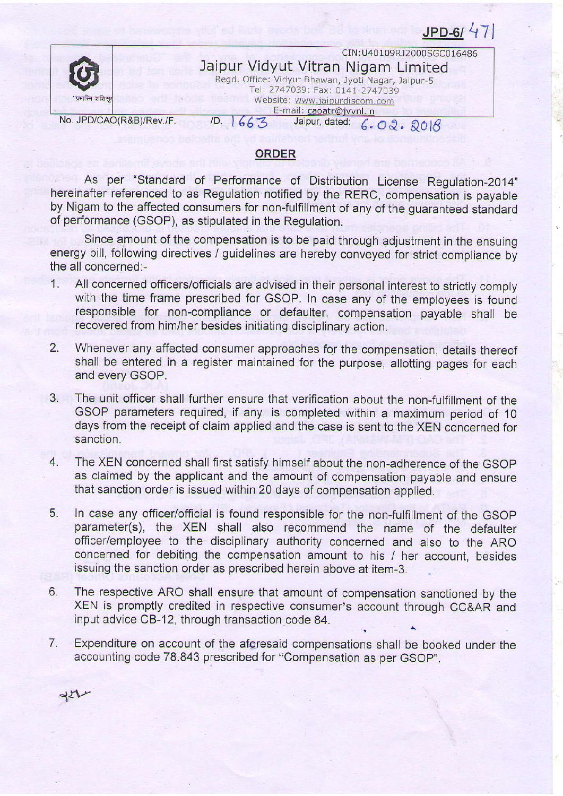No. JPD/CAO(R&B)/Rev./F. /D.  $1663$  Jaipur, dated:  $6.02.2018$ CIN : U40109RJ2000SGC016486 Jaipur Vidyut Vitran Nigam Limited Regd. Office: Vidyut Bhawan, Jyoti Nagar, Jaipur-5 Tel: 2747039: Fax: 0141-2747039 Website: www.jaipurdiscom.com E-mail: caoatr@jvvnl.in

 $JPD-61$  47

## ORDER

As per "Standard of Performance of Distribution License Regulation-2014" hereinafter referenced to as Regulation notified by the RERC, compensation is payabte by Nigam to the affected consumers for non-fulfillment of any of the guaranteed standard of performance (GSOP), as stipulated in the Regulation.

Since amount of the compensation is to be paid through adjustment in the ensuing energy bill, following directives / guidelines are hereby conveyed for strict compliance by the all concerned:-

- 1. All concerned officers/officials are advised in their personal interest to stricfly comply with the time frame prescribed for GSOP. In case any of the employees is found responsible for non-compliance or defaulter, compensation payable shall be recovered from him/her besides initiating disciplinary action.
- 2. Whenever any affected consumer approaches for the compensation, details thereof shall be entered in a register maintained for the purpose, allotting pages for each and every GSOP.
- 3. The unit officer shall further ensure that verification about the non-fulfillment of the GSOP parameters required, if any, is completed within a maximum period of 1O days from the receipt of claim appljed and the case is sent to the XEN concerned for sanction.
- 4. The XEN concerned shall first satisfy himself about the non-adherence of the GSOP as claimed by the applicant and the amount of compensation payable and ensure that sanction order is issued within 20 days of compensation applied.
- 5. In case any officer/otficial is found responsible for the non-fulfillment of the GSOP parameter(s), the XEN shall also recommend the name of the defaulter officer/employee to the disciplinary authority concerned and also to the ARO concerned for debiting the compensation amount to his / her account, besides issuing the sanction order as prescribed herein above at item-3.
- 6. The respective ARO shall ensure that amount of compensation sanctioned by the XEN is promptly credited in respective consumer's account through CC&AR and input advice CB-12, through transaction code 84.
- 7. Expenditure on account of the aforesaid compensations shall be booked under the accounting code 78.843 prescribed for "Compensation as per GSOp".

 $dH$